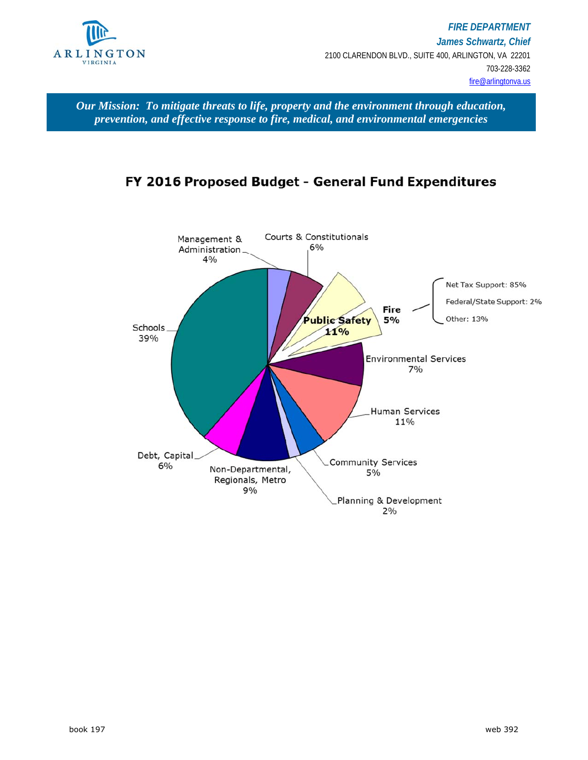

*Our Mission: To mitigate threats to life, property and the environment through education, prevention, and effective response to fire, medical, and environmental emergencies* 

# FY 2016 Proposed Budget - General Fund Expenditures

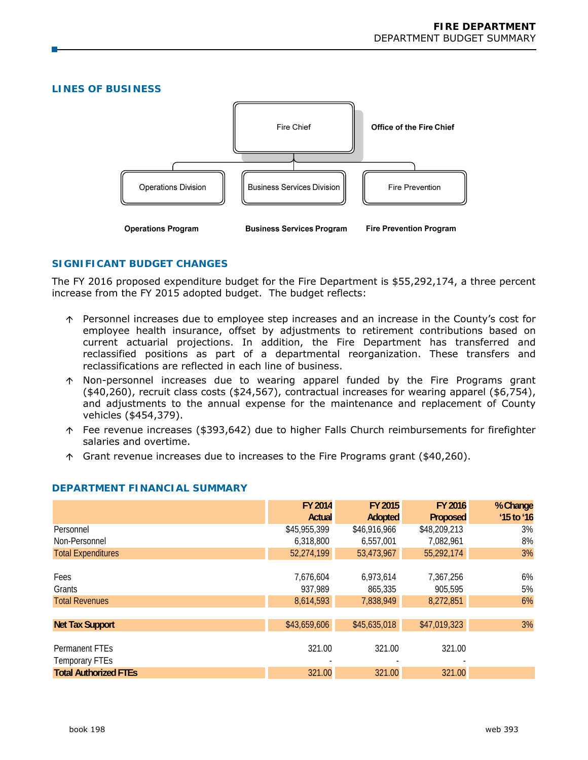# **LINES OF BUSINESS**



# **SIGNIFICANT BUDGET CHANGES**

The FY 2016 proposed expenditure budget for the Fire Department is \$55,292,174, a three percent increase from the FY 2015 adopted budget. The budget reflects:

- Personnel increases due to employee step increases and an increase in the County's cost for employee health insurance, offset by adjustments to retirement contributions based on current actuarial projections. In addition, the Fire Department has transferred and reclassified positions as part of a departmental reorganization. These transfers and reclassifications are reflected in each line of business.
- Non-personnel increases due to wearing apparel funded by the Fire Programs grant (\$40,260), recruit class costs (\$24,567), contractual increases for wearing apparel (\$6,754), and adjustments to the annual expense for the maintenance and replacement of County vehicles (\$454,379).
- Fee revenue increases (\$393,642) due to higher Falls Church reimbursements for firefighter salaries and overtime.
- $\uparrow$  Grant revenue increases due to increases to the Fire Programs grant (\$40,260).

|                              | FY 2014      | FY 2015      | FY 2016      | % Change   |
|------------------------------|--------------|--------------|--------------|------------|
|                              | Actual       | Adopted      | Proposed     | '15 to '16 |
| Personnel                    | \$45,955,399 | \$46,916,966 | \$48,209,213 | 3%         |
| Non-Personnel                | 6,318,800    | 6,557,001    | 7,082,961    | 8%         |
| <b>Total Expenditures</b>    | 52,274,199   | 53,473,967   | 55,292,174   | 3%         |
|                              |              |              |              |            |
| Fees                         | 7,676,604    | 6,973,614    | 7,367,256    | 6%         |
| Grants                       | 937,989      | 865,335      | 905,595      | 5%         |
| <b>Total Revenues</b>        | 8,614,593    | 7,838,949    | 8,272,851    | 6%         |
|                              |              |              |              |            |
| <b>Net Tax Support</b>       | \$43,659,606 | \$45,635,018 | \$47,019,323 | 3%         |
|                              |              |              |              |            |
| <b>Permanent FTEs</b>        | 321.00       | 321.00       | 321.00       |            |
| Temporary FTEs               |              |              |              |            |
| <b>Total Authorized FTEs</b> | 321.00       | 321.00       | 321.00       |            |

# **DEPARTMENT FINANCIAL SUMMARY**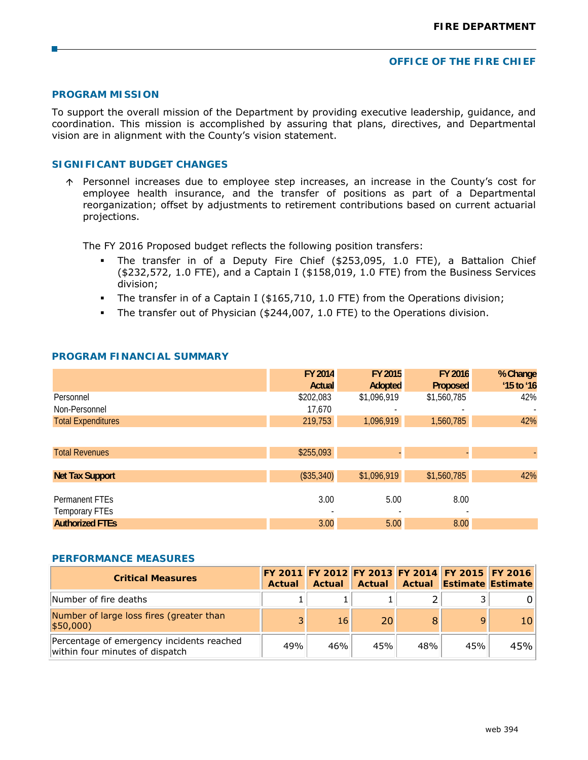#### **OFFICE OF THE FIRE CHIEF**

### **PROGRAM MISSION**

To support the overall mission of the Department by providing executive leadership, guidance, and coordination. This mission is accomplished by assuring that plans, directives, and Departmental vision are in alignment with the County's vision statement.

# **SIGNIFICANT BUDGET CHANGES**

 $\uparrow$  Personnel increases due to employee step increases, an increase in the County's cost for employee health insurance, and the transfer of positions as part of a Departmental reorganization; offset by adjustments to retirement contributions based on current actuarial projections.

The FY 2016 Proposed budget reflects the following position transfers:

- The transfer in of a Deputy Fire Chief (\$253,095, 1.0 FTE), a Battalion Chief (\$232,572, 1.0 FTE), and a Captain I (\$158,019, 1.0 FTE) from the Business Services division;
- The transfer in of a Captain I (\$165,710, 1.0 FTE) from the Operations division;
- The transfer out of Physician (\$244,007, 1.0 FTE) to the Operations division.

|                            | FY 2014    | FY 2015     | FY 2016     | % Change   |
|----------------------------|------------|-------------|-------------|------------|
|                            | Actual     | Adopted     | Proposed    | '15 to '16 |
| Personnel                  | \$202,083  | \$1,096,919 | \$1,560,785 | 42%        |
| Non-Personnel              | 17,670     |             |             |            |
| <b>Total Expenditures</b>  | 219,753    | 1,096,919   | 1,560,785   | 42%        |
|                            |            |             |             |            |
| <b>Total Revenues</b>      | \$255,093  |             |             |            |
|                            |            |             |             |            |
| <b>Net Tax Support</b>     | (\$35,340) | \$1,096,919 | \$1,560,785 | 42%        |
|                            |            |             |             |            |
| Permanent FTE <sub>S</sub> | 3.00       | 5.00        | 8.00        |            |
| <b>Temporary FTEs</b>      |            |             |             |            |
| <b>Authorized FTEs</b>     | 3.00       | 5.00        | 8.00        |            |

## **PROGRAM FINANCIAL SUMMARY**

#### **PERFORMANCE MEASURES**

| <b>Critical Measures</b>                                                     | Actual | Actual | <b>Actual</b> |     | FY 2011 FY 2012 FY 2013 FY 2014 FY 2015 FY 2016<br><b>Actual Estimate Estimate</b> |     |
|------------------------------------------------------------------------------|--------|--------|---------------|-----|------------------------------------------------------------------------------------|-----|
| Number of fire deaths                                                        |        |        |               |     |                                                                                    |     |
| Number of large loss fires (greater than<br> \$50,000                        | 3      | 16     | 20            |     | 9                                                                                  |     |
| Percentage of emergency incidents reached<br>within four minutes of dispatch | 49%    | 46%    | 45%           | 48% | 45%                                                                                | 45% |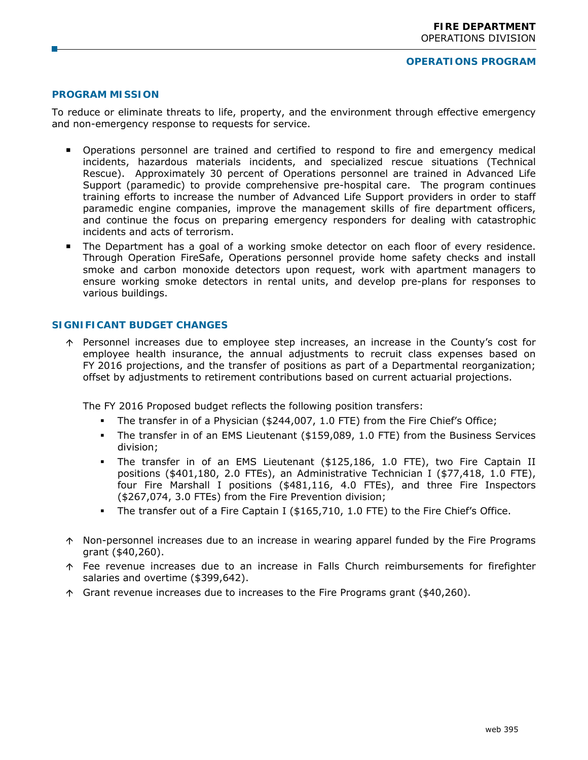# **PROGRAM MISSION**

To reduce or eliminate threats to life, property, and the environment through effective emergency and non-emergency response to requests for service.

- Operations personnel are trained and certified to respond to fire and emergency medical incidents, hazardous materials incidents, and specialized rescue situations (Technical Rescue). Approximately 30 percent of Operations personnel are trained in Advanced Life Support (paramedic) to provide comprehensive pre-hospital care. The program continues training efforts to increase the number of Advanced Life Support providers in order to staff paramedic engine companies, improve the management skills of fire department officers, and continue the focus on preparing emergency responders for dealing with catastrophic incidents and acts of terrorism.
- **The Department has a goal of a working smoke detector on each floor of every residence.** Through Operation FireSafe, Operations personnel provide home safety checks and install smoke and carbon monoxide detectors upon request, work with apartment managers to ensure working smoke detectors in rental units, and develop pre-plans for responses to various buildings.

#### **SIGNIFICANT BUDGET CHANGES**

 Personnel increases due to employee step increases, an increase in the County's cost for employee health insurance, the annual adjustments to recruit class expenses based on FY 2016 projections, and the transfer of positions as part of a Departmental reorganization; offset by adjustments to retirement contributions based on current actuarial projections.

The FY 2016 Proposed budget reflects the following position transfers:

- The transfer in of a Physician (\$244,007, 1.0 FTE) from the Fire Chief's Office;
- The transfer in of an EMS Lieutenant (\$159,089, 1.0 FTE) from the Business Services division;
- The transfer in of an EMS Lieutenant (\$125,186, 1.0 FTE), two Fire Captain II positions (\$401,180, 2.0 FTEs), an Administrative Technician I (\$77,418, 1.0 FTE), four Fire Marshall I positions (\$481,116, 4.0 FTEs), and three Fire Inspectors (\$267,074, 3.0 FTEs) from the Fire Prevention division;
- The transfer out of a Fire Captain I (\$165,710, 1.0 FTE) to the Fire Chief's Office.
- $\uparrow$  Non-personnel increases due to an increase in wearing apparel funded by the Fire Programs grant (\$40,260).
- $\uparrow$  Fee revenue increases due to an increase in Falls Church reimbursements for firefighter salaries and overtime (\$399,642).
- Grant revenue increases due to increases to the Fire Programs grant (\$40,260).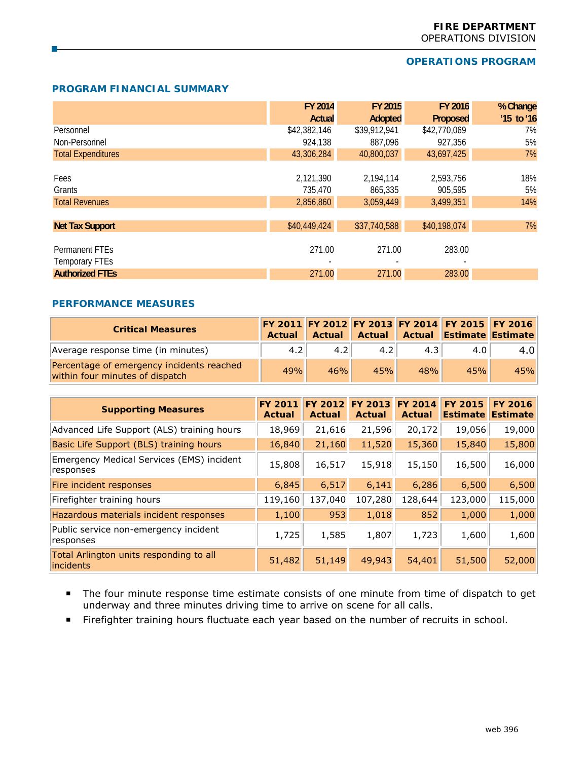# **OPERATIONS PROGRAM**

### **PROGRAM FINANCIAL SUMMARY**

|                           | FY 2014      | FY 2015      | <b>FY 2016</b> | % Change     |
|---------------------------|--------------|--------------|----------------|--------------|
|                           | Actual       | Adopted      | Proposed       | $'15$ to '16 |
| Personnel                 | \$42,382,146 | \$39,912,941 | \$42,770,069   | 7%           |
| Non-Personnel             | 924,138      | 887,096      | 927,356        | 5%           |
| <b>Total Expenditures</b> | 43,306,284   | 40,800,037   | 43,697,425     | 7%           |
|                           |              |              |                |              |
| Fees                      | 2,121,390    | 2,194,114    | 2,593,756      | 18%          |
| Grants                    | 735,470      | 865,335      | 905.595        | 5%           |
| <b>Total Revenues</b>     | 2,856,860    | 3,059,449    | 3,499,351      | 14%          |
|                           |              |              |                |              |
| <b>Net Tax Support</b>    | \$40,449,424 | \$37,740,588 | \$40,198,074   | 7%           |
|                           |              |              |                |              |
| Permanent FTEs            | 271.00       | 271.00       | 283.00         |              |
| <b>Temporary FTEs</b>     |              |              |                |              |
| <b>Authorized FTEs</b>    | 271.00       | 271.00       | 283.00         |              |

#### **PERFORMANCE MEASURES**

| <b>Critical Measures</b>                                                     | Actual | Actual |     |     | FY 2011 FY 2012 FY 2013 FY 2014 FY 2015 FY 2016<br>Actual Actual Estimate Estimate |     |
|------------------------------------------------------------------------------|--------|--------|-----|-----|------------------------------------------------------------------------------------|-----|
| Average response time (in minutes)                                           | 4.2    | 4.2    | 4.2 | 4.3 | 4.0                                                                                | 4.0 |
| Percentage of emergency incidents reached<br>within four minutes of dispatch | 49%    | 46%    | 45% | 48% | 45%                                                                                | 45% |

| <b>Supporting Measures</b>                             | <b>FY 2011</b><br>Actual | <b>FY 2012</b><br>Actual | <b>FY 2013</b><br><b>Actual</b> | <b>FY 2014</b><br><b>Actual</b> | <b>FY 2015</b><br><b>Estimate</b> | <b>FY 2016</b><br><b>Estimate</b> |
|--------------------------------------------------------|--------------------------|--------------------------|---------------------------------|---------------------------------|-----------------------------------|-----------------------------------|
| Advanced Life Support (ALS) training hours             | 18,969                   | 21,616                   | 21,596                          | 20,172                          | 19,056                            | 19,000                            |
| Basic Life Support (BLS) training hours                | 16,840                   | 21,160                   | 11,520                          | 15,360                          | 15,840                            | 15,800                            |
| Emergency Medical Services (EMS) incident<br>responses | 15,808                   | 16,517                   | 15,918                          | 15,150                          | 16,500                            | 16,000                            |
| Fire incident responses                                | 6,845                    | 6,517                    | 6,141                           | 6,286                           | 6,500                             | 6,500                             |
| Firefighter training hours                             | 119,160                  | 137,040                  | 107,280                         | 128,644                         | 123,000                           | 115,000                           |
| Hazardous materials incident responses                 | 1,100                    | 953                      | 1,018                           | 852                             | 1,000                             | 1,000                             |
| Public service non-emergency incident<br>responses     | 1,725                    | 1,585                    | 1,807                           | 1,723                           | 1,600                             | 1,600                             |
| Total Arlington units responding to all<br>incidents   | 51,482                   | 51,149                   | 49,943                          | 54,401                          | 51,500                            | 52,000                            |

- The four minute response time estimate consists of one minute from time of dispatch to get underway and three minutes driving time to arrive on scene for all calls.
- Firefighter training hours fluctuate each year based on the number of recruits in school.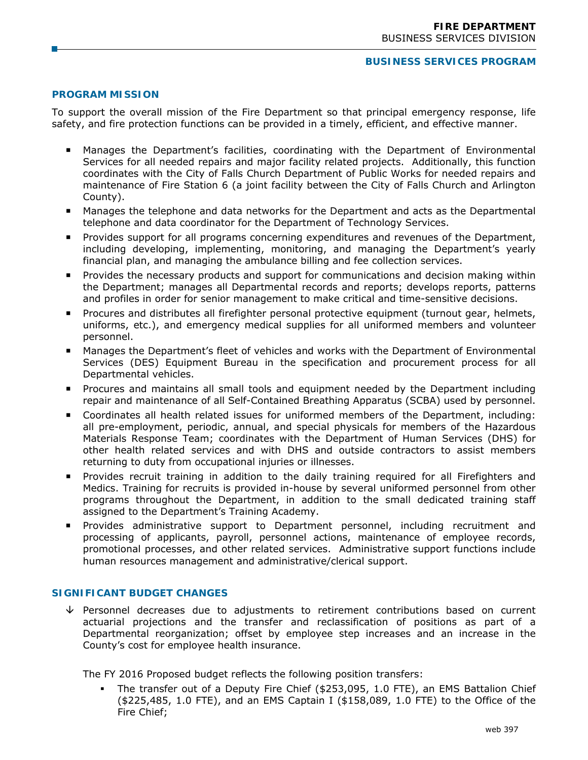#### **BUSINESS SERVICES PROGRAM**

# **PROGRAM MISSION**

To support the overall mission of the Fire Department so that principal emergency response, life safety, and fire protection functions can be provided in a timely, efficient, and effective manner.

- Manages the Department's facilities, coordinating with the Department of Environmental Services for all needed repairs and major facility related projects. Additionally, this function coordinates with the City of Falls Church Department of Public Works for needed repairs and maintenance of Fire Station 6 (a joint facility between the City of Falls Church and Arlington County).
- Manages the telephone and data networks for the Department and acts as the Departmental telephone and data coordinator for the Department of Technology Services.
- **Provides support for all programs concerning expenditures and revenues of the Department,** including developing, implementing, monitoring, and managing the Department's yearly financial plan, and managing the ambulance billing and fee collection services.
- Provides the necessary products and support for communications and decision making within the Department; manages all Departmental records and reports; develops reports, patterns and profiles in order for senior management to make critical and time-sensitive decisions.
- Procures and distributes all firefighter personal protective equipment (turnout gear, helmets, uniforms, etc.), and emergency medical supplies for all uniformed members and volunteer personnel.
- Manages the Department's fleet of vehicles and works with the Department of Environmental Services (DES) Equipment Bureau in the specification and procurement process for all Departmental vehicles.
- **Procures and maintains all small tools and equipment needed by the Department including** repair and maintenance of all Self-Contained Breathing Apparatus (SCBA) used by personnel.
- Coordinates all health related issues for uniformed members of the Department, including: all pre-employment, periodic, annual, and special physicals for members of the Hazardous Materials Response Team; coordinates with the Department of Human Services (DHS) for other health related services and with DHS and outside contractors to assist members returning to duty from occupational injuries or illnesses.
- Provides recruit training in addition to the daily training required for all Firefighters and Medics. Training for recruits is provided in-house by several uniformed personnel from other programs throughout the Department, in addition to the small dedicated training staff assigned to the Department's Training Academy.
- **Provides administrative support to Department personnel, including recruitment and** processing of applicants, payroll, personnel actions, maintenance of employee records, promotional processes, and other related services. Administrative support functions include human resources management and administrative/clerical support.

# **SIGNIFICANT BUDGET CHANGES**

 $\sqrt{ }$  Personnel decreases due to adjustments to retirement contributions based on current actuarial projections and the transfer and reclassification of positions as part of a Departmental reorganization; offset by employee step increases and an increase in the County's cost for employee health insurance.

The FY 2016 Proposed budget reflects the following position transfers:

 The transfer out of a Deputy Fire Chief (\$253,095, 1.0 FTE), an EMS Battalion Chief (\$225,485, 1.0 FTE), and an EMS Captain I (\$158,089, 1.0 FTE) to the Office of the Fire Chief;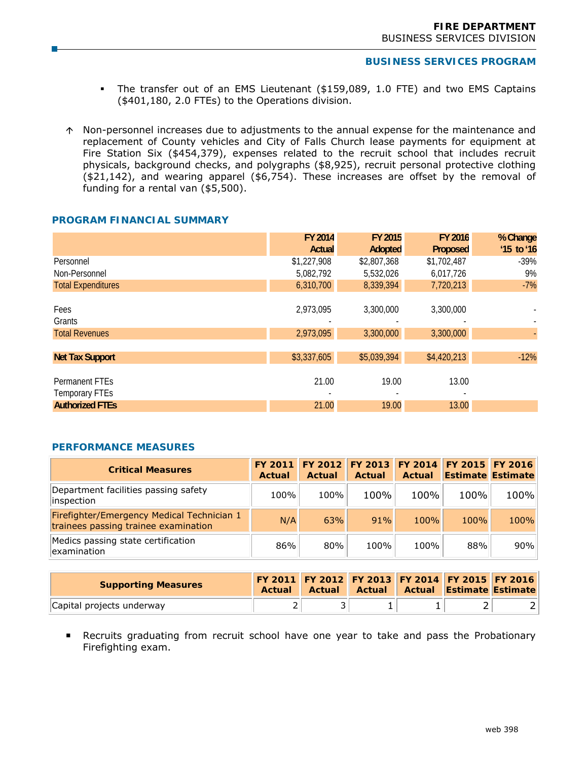# **BUSINESS SERVICES PROGRAM**

- The transfer out of an EMS Lieutenant (\$159,089, 1.0 FTE) and two EMS Captains (\$401,180, 2.0 FTEs) to the Operations division.
- $\uparrow$  Non-personnel increases due to adjustments to the annual expense for the maintenance and replacement of County vehicles and City of Falls Church lease payments for equipment at Fire Station Six (\$454,379), expenses related to the recruit school that includes recruit physicals, background checks, and polygraphs (\$8,925), recruit personal protective clothing (\$21,142), and wearing apparel (\$6,754). These increases are offset by the removal of funding for a rental van (\$5,500).

## **PROGRAM FINANCIAL SUMMARY**

|                                  | FY 2014     | FY 2015     | FY 2016     | % Change                 |
|----------------------------------|-------------|-------------|-------------|--------------------------|
|                                  | Actual      | Adopted     | Proposed    | $'15$ to '16             |
| Personnel                        | \$1,227,908 | \$2,807,368 | \$1,702,487 | $-39%$                   |
| Non-Personnel                    | 5,082,792   | 5,532,026   | 6,017,726   | 9%                       |
| <b>Total Expenditures</b>        | 6,310,700   | 8,339,394   | 7,720,213   | $-7%$                    |
| Fees<br>Grants                   | 2,973,095   | 3,300,000   | 3,300,000   | $\overline{\phantom{a}}$ |
| <b>Total Revenues</b>            | 2,973,095   | 3,300,000   | 3,300,000   |                          |
|                                  |             |             |             |                          |
| <b>Net Tax Support</b>           | \$3,337,605 | \$5,039,394 | \$4,420,213 | $-12%$                   |
| Permanent FTEs<br>Temporary FTEs | 21.00       | 19.00       | 13.00       |                          |
| <b>Authorized FTEs</b>           | 21.00       | 19.00       | 13.00       |                          |

#### **PERFORMANCE MEASURES**

| <b>Critical Measures</b>                                                           | FY 2011<br>Actual | Actual | Actual | Actual | FY 2012 FY 2013 FY 2014 FY 2015 FY 2016<br><b>Estimate Estimate</b> |      |
|------------------------------------------------------------------------------------|-------------------|--------|--------|--------|---------------------------------------------------------------------|------|
| Department facilities passing safety<br>inspection                                 | 100%              | 100%   | 100%   | 100%   | 100%                                                                | 100% |
| Firefighter/Emergency Medical Technician 1<br>trainees passing trainee examination | N/A               | 63%    | 91%    | 100%   | 100%                                                                | 100% |
| Medics passing state certification<br>examination                                  | 86%               | 80%    | 100%   | 100%   | 88%                                                                 | 90%  |

| <b>Supporting Measures</b> | Actual | <b>Actual</b> | Actual I | FY 2011 FY 2012 FY 2013 FY 2014 FY 2015 FY 2016<br><b>Actual Estimate Estimate</b> |  |
|----------------------------|--------|---------------|----------|------------------------------------------------------------------------------------|--|
| Capital projects underway  |        |               |          |                                                                                    |  |

 Recruits graduating from recruit school have one year to take and pass the Probationary Firefighting exam.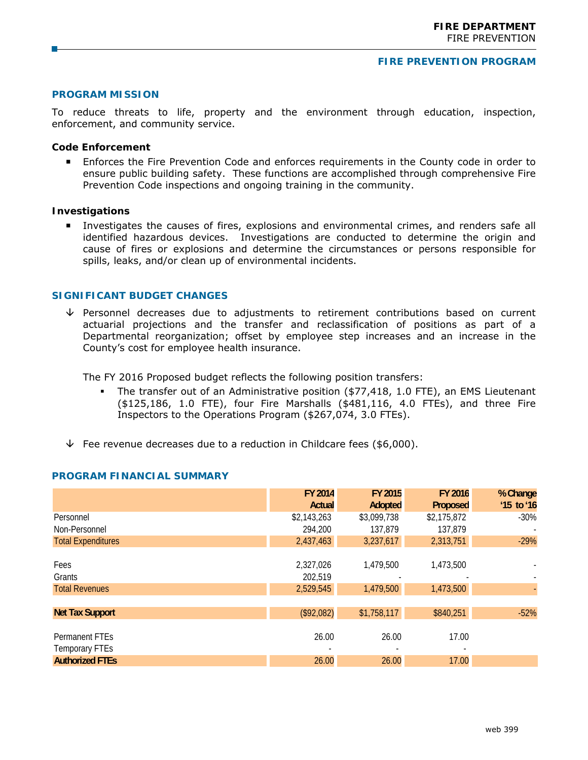#### **FIRE PREVENTION PROGRAM**

#### **PROGRAM MISSION**

To reduce threats to life, property and the environment through education, inspection, enforcement, and community service.

#### **Code Enforcement**

**Enforces the Fire Prevention Code and enforces requirements in the County code in order to** ensure public building safety. These functions are accomplished through comprehensive Fire Prevention Code inspections and ongoing training in the community.

## **Investigations**

 Investigates the causes of fires, explosions and environmental crimes, and renders safe all identified hazardous devices. Investigations are conducted to determine the origin and cause of fires or explosions and determine the circumstances or persons responsible for spills, leaks, and/or clean up of environmental incidents.

# **SIGNIFICANT BUDGET CHANGES**

 $\sqrt{ }$  Personnel decreases due to adjustments to retirement contributions based on current actuarial projections and the transfer and reclassification of positions as part of a Departmental reorganization; offset by employee step increases and an increase in the County's cost for employee health insurance.

The FY 2016 Proposed budget reflects the following position transfers:

- The transfer out of an Administrative position (\$77,418, 1.0 FTE), an EMS Lieutenant (\$125,186, 1.0 FTE), four Fire Marshalls (\$481,116, 4.0 FTEs), and three Fire Inspectors to the Operations Program (\$267,074, 3.0 FTEs).
- $\overline{\triangledown}$  Fee revenue decreases due to a reduction in Childcare fees (\$6,000).

|                           | FY 2014     | FY 2015     | FY 2016     | % Change     |
|---------------------------|-------------|-------------|-------------|--------------|
|                           | Actual      | Adopted     | Proposed    | $'15$ to '16 |
| Personnel                 | \$2,143,263 | \$3,099,738 | \$2,175,872 | -30%         |
| Non-Personnel             | 294,200     | 137,879     | 137,879     |              |
| <b>Total Expenditures</b> | 2,437,463   | 3,237,617   | 2,313,751   | $-29%$       |
|                           |             |             |             |              |
| Fees                      | 2,327,026   | 1,479,500   | 1,473,500   |              |
| Grants                    | 202,519     |             |             |              |
| <b>Total Revenues</b>     | 2,529,545   | 1,479,500   | 1,473,500   |              |
|                           |             |             |             |              |
| <b>Net Tax Support</b>    | (\$92,082)  | \$1,758,117 | \$840,251   | $-52%$       |
|                           |             |             |             |              |
| Permanent FTEs            | 26.00       | 26.00       | 17.00       |              |
| <b>Temporary FTEs</b>     |             |             |             |              |
| <b>Authorized FTEs</b>    | 26.00       | 26.00       | 17.00       |              |

#### **PROGRAM FINANCIAL SUMMARY**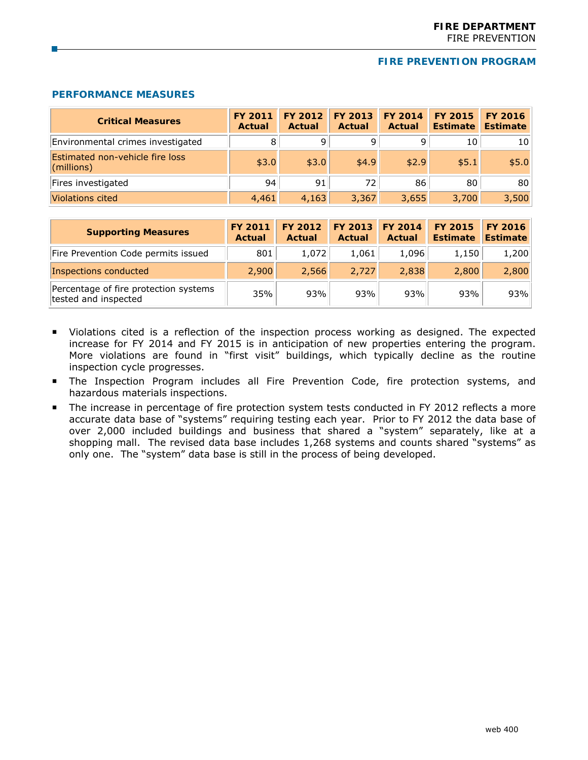#### **FIRE PREVENTION PROGRAM**

# **PERFORMANCE MEASURES**

| <b>Critical Measures</b>                      | <b>FY 2011</b><br><b>Actual</b> | <b>FY 2012</b><br>Actual | FY 2013<br>Actual | <b>FY 2014</b><br>Actual | <b>FY 2015</b><br><b>Estimate</b> | <b>FY 2016</b><br><b>Estimate</b> |
|-----------------------------------------------|---------------------------------|--------------------------|-------------------|--------------------------|-----------------------------------|-----------------------------------|
| Environmental crimes investigated             | 8                               | 9                        | 9                 | q                        | 10                                | 10                                |
| Estimated non-vehicle fire loss<br>(millions) | \$3.0                           | \$3.0                    | \$4.9             | \$2.9                    | \$5.1                             | \$5.0                             |
| Fires investigated                            | 94                              | 91                       | 72                | 86                       | 80                                | 80                                |
| <b>Violations cited</b>                       | 4,461                           | 4,163                    | 3,367             | 3,655                    | 3,700                             | 3,500                             |

| <b>Supporting Measures</b>                                    | <b>FY 2011</b><br>Actual | FY 2012<br>Actual | FY 2013 FY 2014<br>Actual | Actual | <b>FY 2015</b><br><b>Estimate</b> | <b>FY 2016</b><br><b>Estimate</b> |
|---------------------------------------------------------------|--------------------------|-------------------|---------------------------|--------|-----------------------------------|-----------------------------------|
| Fire Prevention Code permits issued                           | 801                      | 1,072             | 1,061                     | 1,096  | 1,150                             | 1,200                             |
| Inspections conducted                                         | 2,900                    | 2,566             | 2,727                     | 2,838  | 2,800                             | 2,800                             |
| Percentage of fire protection systems<br>tested and inspected | 35%                      | 93%               | 93%                       | 93%    | 93%                               | 93%                               |

- Violations cited is a reflection of the inspection process working as designed. The expected increase for FY 2014 and FY 2015 is in anticipation of new properties entering the program. More violations are found in "first visit" buildings, which typically decline as the routine inspection cycle progresses.
- **The Inspection Program includes all Fire Prevention Code, fire protection systems, and** hazardous materials inspections.
- The increase in percentage of fire protection system tests conducted in FY 2012 reflects a more accurate data base of "systems" requiring testing each year. Prior to FY 2012 the data base of over 2,000 included buildings and business that shared a "system" separately, like at a shopping mall. The revised data base includes 1,268 systems and counts shared "systems" as only one. The "system" data base is still in the process of being developed.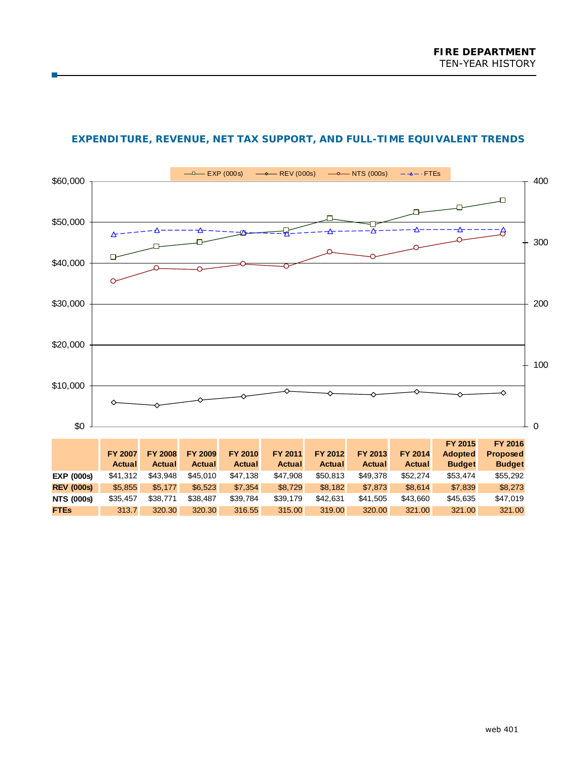

# **EXPENDITURE, REVENUE, NET TAX SUPPORT, AND FULL-TIME EQUIVALENT TRENDS**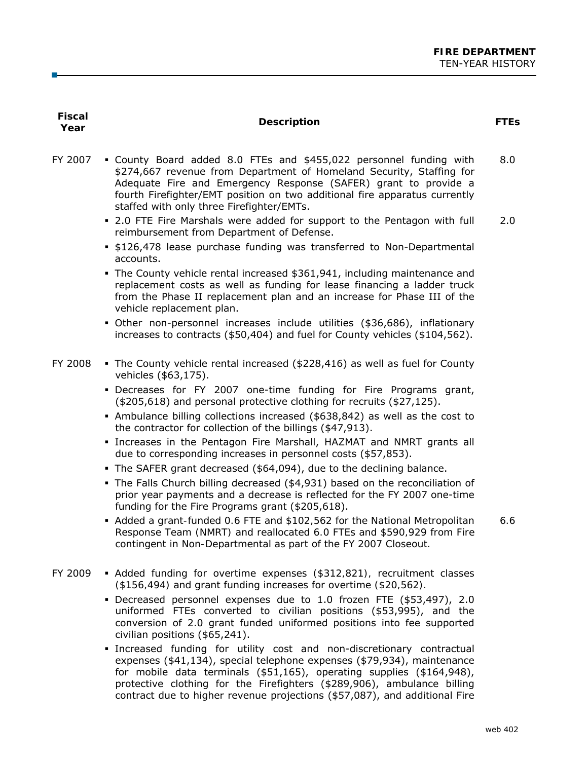| <b>Fiscal</b><br>Year | <b>Description</b>                                                                                                                                                                                                                                                                                                                       | <b>FTEs</b> |
|-----------------------|------------------------------------------------------------------------------------------------------------------------------------------------------------------------------------------------------------------------------------------------------------------------------------------------------------------------------------------|-------------|
| FY 2007               | . County Board added 8.0 FTEs and \$455,022 personnel funding with<br>\$274,667 revenue from Department of Homeland Security, Staffing for<br>Adequate Fire and Emergency Response (SAFER) grant to provide a<br>fourth Firefighter/EMT position on two additional fire apparatus currently<br>staffed with only three Firefighter/EMTs. | 8.0         |
|                       | • 2.0 FTE Fire Marshals were added for support to the Pentagon with full<br>reimbursement from Department of Defense.<br><b>.</b> \$126,478 lease purchase funding was transferred to Non-Departmental                                                                                                                                   | 2.0         |
|                       | accounts.<br>The County vehicle rental increased \$361,941, including maintenance and<br>replacement costs as well as funding for lease financing a ladder truck<br>from the Phase II replacement plan and an increase for Phase III of the<br>vehicle replacement plan.                                                                 |             |
|                       | • Other non-personnel increases include utilities (\$36,686), inflationary<br>increases to contracts (\$50,404) and fuel for County vehicles (\$104,562).                                                                                                                                                                                |             |
| FY 2008               | • The County vehicle rental increased (\$228,416) as well as fuel for County<br>vehicles (\$63,175).                                                                                                                                                                                                                                     |             |
|                       | . Decreases for FY 2007 one-time funding for Fire Programs grant,<br>(\$205,618) and personal protective clothing for recruits (\$27,125).                                                                                                                                                                                               |             |
|                       | • Ambulance billing collections increased (\$638,842) as well as the cost to<br>the contractor for collection of the billings (\$47,913).                                                                                                                                                                                                |             |
|                       | . Increases in the Pentagon Fire Marshall, HAZMAT and NMRT grants all<br>due to corresponding increases in personnel costs (\$57,853).                                                                                                                                                                                                   |             |
|                       | • The SAFER grant decreased (\$64,094), due to the declining balance.<br>• The Falls Church billing decreased (\$4,931) based on the reconciliation of<br>prior year payments and a decrease is reflected for the FY 2007 one-time<br>funding for the Fire Programs grant (\$205,618).                                                   |             |
|                       | • Added a grant-funded 0.6 FTE and \$102,562 for the National Metropolitan<br>Response Team (NMRT) and reallocated 6.0 FTEs and \$590,929 from Fire<br>contingent in Non-Departmental as part of the FY 2007 Closeout.                                                                                                                   | 6.6         |
| FY 2009               | • Added funding for overtime expenses (\$312,821), recruitment classes<br>(\$156,494) and grant funding increases for overtime (\$20,562).                                                                                                                                                                                               |             |
|                       | • Decreased personnel expenses due to 1.0 frozen FTE (\$53,497), 2.0<br>uniformed FTEs converted to civilian positions (\$53,995), and the<br>conversion of 2.0 grant funded uniformed positions into fee supported<br>civilian positions (\$65,241).                                                                                    |             |
|                       | Increased funding for utility cost and non-discretionary contractual<br>expenses (\$41,134), special telephone expenses (\$79,934), maintenance<br>for mobile data terminals (\$51,165), operating supplies (\$164,948),                                                                                                                 |             |

protective clothing for the Firefighters (\$289,906), ambulance billing contract due to higher revenue projections (\$57,087), and additional Fire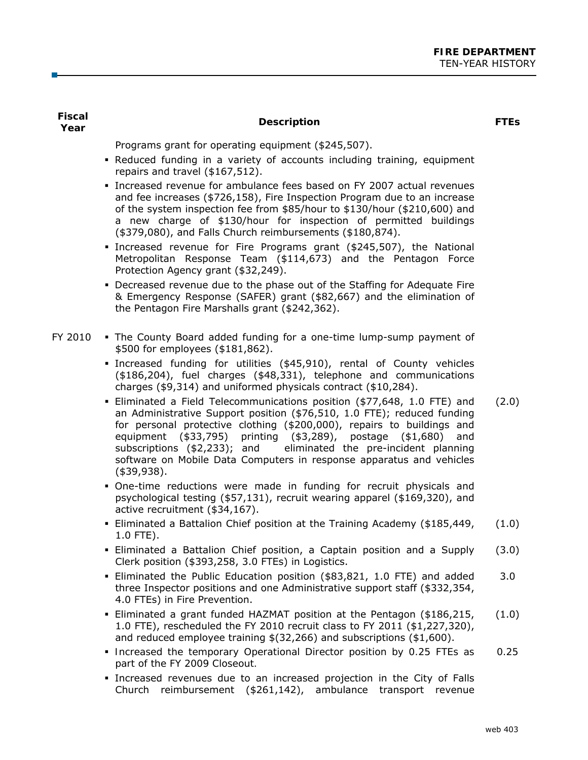| <b>Fiscal</b><br>Year | <b>Description</b>                                                                                                                                                                                                                                                                                                                                                                                                                                                     | <b>FTEs</b> |
|-----------------------|------------------------------------------------------------------------------------------------------------------------------------------------------------------------------------------------------------------------------------------------------------------------------------------------------------------------------------------------------------------------------------------------------------------------------------------------------------------------|-------------|
|                       | Programs grant for operating equipment (\$245,507).                                                                                                                                                                                                                                                                                                                                                                                                                    |             |
|                       | . Reduced funding in a variety of accounts including training, equipment<br>repairs and travel (\$167,512).                                                                                                                                                                                                                                                                                                                                                            |             |
|                       | · Increased revenue for ambulance fees based on FY 2007 actual revenues<br>and fee increases (\$726,158), Fire Inspection Program due to an increase<br>of the system inspection fee from \$85/hour to \$130/hour (\$210,600) and<br>a new charge of \$130/hour for inspection of permitted buildings<br>(\$379,080), and Falls Church reimbursements (\$180,874).                                                                                                     |             |
|                       | Increased revenue for Fire Programs grant (\$245,507), the National<br>Metropolitan Response Team (\$114,673) and the Pentagon Force<br>Protection Agency grant (\$32,249).                                                                                                                                                                                                                                                                                            |             |
|                       | • Decreased revenue due to the phase out of the Staffing for Adequate Fire<br>& Emergency Response (SAFER) grant (\$82,667) and the elimination of<br>the Pentagon Fire Marshalls grant (\$242,362).                                                                                                                                                                                                                                                                   |             |
| FY 2010               | . The County Board added funding for a one-time lump-sump payment of<br>\$500 for employees (\$181,862).                                                                                                                                                                                                                                                                                                                                                               |             |
|                       | · Increased funding for utilities (\$45,910), rental of County vehicles<br>(\$186,204), fuel charges (\$48,331), telephone and communications<br>charges (\$9,314) and uniformed physicals contract (\$10,284).                                                                                                                                                                                                                                                        |             |
|                       | - Eliminated a Field Telecommunications position (\$77,648, 1.0 FTE) and<br>an Administrative Support position (\$76,510, 1.0 FTE); reduced funding<br>for personal protective clothing (\$200,000), repairs to buildings and<br>equipment (\$33,795) printing (\$3,289), postage<br>( \$1,680)<br>and<br>subscriptions (\$2,233); and<br>eliminated the pre-incident planning<br>software on Mobile Data Computers in response apparatus and vehicles<br>$(*39,938).$ | (2.0)       |
|                       | . One-time reductions were made in funding for recruit physicals and<br>psychological testing (\$57,131), recruit wearing apparel (\$169,320), and<br>active recruitment (\$34,167).                                                                                                                                                                                                                                                                                   |             |
|                       | - Eliminated a Battalion Chief position at the Training Academy (\$185,449,<br>1.0 FTE).                                                                                                                                                                                                                                                                                                                                                                               | (1.0)       |
|                       | . Eliminated a Battalion Chief position, a Captain position and a Supply<br>Clerk position (\$393,258, 3.0 FTEs) in Logistics.                                                                                                                                                                                                                                                                                                                                         | (3.0)       |
|                       | - Eliminated the Public Education position (\$83,821, 1.0 FTE) and added<br>three Inspector positions and one Administrative support staff (\$332,354,<br>4.0 FTEs) in Fire Prevention.                                                                                                                                                                                                                                                                                | 3.0         |
|                       | . Eliminated a grant funded HAZMAT position at the Pentagon (\$186,215,<br>1.0 FTE), rescheduled the FY 2010 recruit class to FY 2011 (\$1,227,320),<br>and reduced employee training $$(32,266)$ and subscriptions $$(1,600)$ .                                                                                                                                                                                                                                       | (1.0)       |
|                       | • Increased the temporary Operational Director position by 0.25 FTEs as<br>part of the FY 2009 Closeout.                                                                                                                                                                                                                                                                                                                                                               | 0.25        |

**Increased revenues due to an increased projection in the City of Falls** Church reimbursement (\$261,142), ambulance transport revenue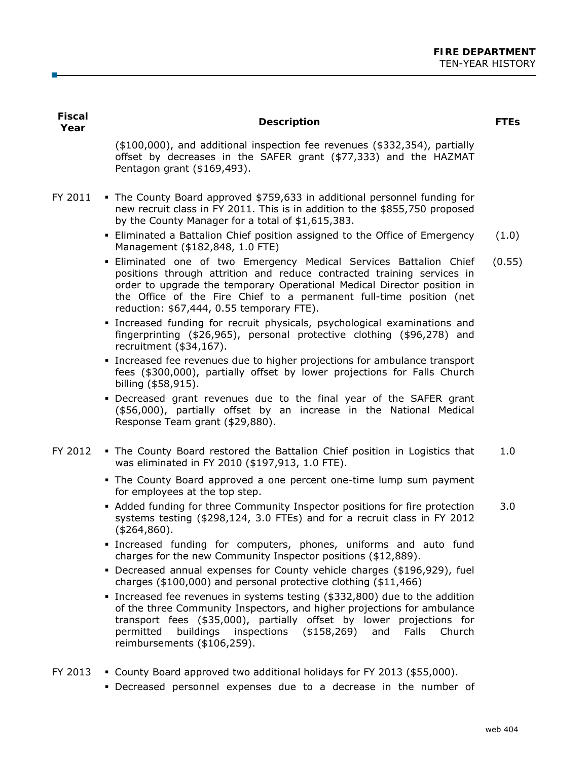| <b>Fiscal</b><br>Year | <b>Description</b>                                                                                                                                                                                                                                                                                                                           | <b>FTES</b> |
|-----------------------|----------------------------------------------------------------------------------------------------------------------------------------------------------------------------------------------------------------------------------------------------------------------------------------------------------------------------------------------|-------------|
|                       | $(*100,000)$ , and additional inspection fee revenues $(*332,354)$ , partially<br>offset by decreases in the SAFER grant (\$77,333) and the HAZMAT<br>Pentagon grant (\$169,493).                                                                                                                                                            |             |
| FY 2011               | • The County Board approved \$759,633 in additional personnel funding for<br>new recruit class in FY 2011. This is in addition to the \$855,750 proposed<br>by the County Manager for a total of \$1,615,383.                                                                                                                                |             |
|                       | - Eliminated a Battalion Chief position assigned to the Office of Emergency<br>Management (\$182,848, 1.0 FTE)                                                                                                                                                                                                                               | (1.0)       |
|                       | . Eliminated one of two Emergency Medical Services Battalion Chief<br>positions through attrition and reduce contracted training services in<br>order to upgrade the temporary Operational Medical Director position in<br>the Office of the Fire Chief to a permanent full-time position (net<br>reduction: \$67,444, 0.55 temporary FTE).  | (0.55)      |
|                       | · Increased funding for recruit physicals, psychological examinations and<br>fingerprinting (\$26,965), personal protective clothing (\$96,278) and<br>recruitment (\$34,167).                                                                                                                                                               |             |
|                       | • Increased fee revenues due to higher projections for ambulance transport<br>fees (\$300,000), partially offset by lower projections for Falls Church<br>billing (\$58,915).                                                                                                                                                                |             |
|                       | • Decreased grant revenues due to the final year of the SAFER grant<br>(\$56,000), partially offset by an increase in the National Medical<br>Response Team grant (\$29,880).                                                                                                                                                                |             |
| FY 2012               | . The County Board restored the Battalion Chief position in Logistics that<br>was eliminated in FY 2010 (\$197,913, 1.0 FTE).                                                                                                                                                                                                                | 1.0         |
|                       | . The County Board approved a one percent one-time lump sum payment<br>for employees at the top step.                                                                                                                                                                                                                                        |             |
|                       | • Added funding for three Community Inspector positions for fire protection<br>systems testing (\$298,124, 3.0 FTEs) and for a recruit class in FY 2012<br>$(*264,860).$                                                                                                                                                                     | 3.0         |
|                       | . Increased funding for computers, phones, uniforms and auto fund<br>charges for the new Community Inspector positions (\$12,889).                                                                                                                                                                                                           |             |
|                       | • Decreased annual expenses for County vehicle charges (\$196,929), fuel<br>charges (\$100,000) and personal protective clothing (\$11,466)                                                                                                                                                                                                  |             |
|                       | • Increased fee revenues in systems testing (\$332,800) due to the addition<br>of the three Community Inspectors, and higher projections for ambulance<br>transport fees (\$35,000), partially offset by lower projections for<br>permitted<br>buildings<br>inspections (\$158,269)<br>Falls<br>Church<br>and<br>reimbursements (\$106,259). |             |
| FY 2013               | • County Board approved two additional holidays for FY 2013 (\$55,000).<br>· Decreased personnel expenses due to a decrease in the number of                                                                                                                                                                                                 |             |

г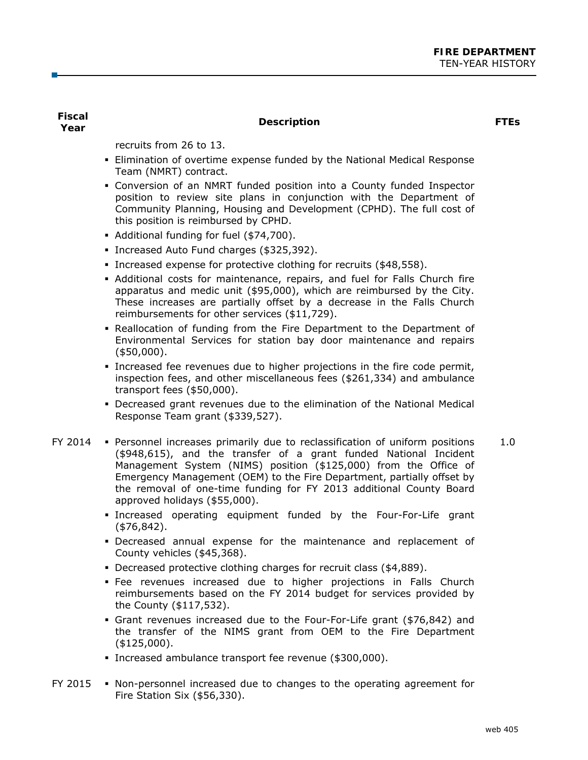**Fiscal** 

# **Year Description FTEs**

recruits from 26 to 13.

- Elimination of overtime expense funded by the National Medical Response Team (NMRT) contract.
- Conversion of an NMRT funded position into a County funded Inspector position to review site plans in conjunction with the Department of Community Planning, Housing and Development (CPHD). The full cost of this position is reimbursed by CPHD.
- Additional funding for fuel (\$74,700).
- Increased Auto Fund charges (\$325,392).
- Increased expense for protective clothing for recruits (\$48,558).
- Additional costs for maintenance, repairs, and fuel for Falls Church fire apparatus and medic unit (\$95,000), which are reimbursed by the City. These increases are partially offset by a decrease in the Falls Church reimbursements for other services (\$11,729).
- **-** Reallocation of funding from the Fire Department to the Department of Environmental Services for station bay door maintenance and repairs (\$50,000).
- Increased fee revenues due to higher projections in the fire code permit, inspection fees, and other miscellaneous fees (\$261,334) and ambulance transport fees (\$50,000).
- Decreased grant revenues due to the elimination of the National Medical Response Team grant (\$339,527).
- FY 2014 Personnel increases primarily due to reclassification of uniform positions (\$948,615), and the transfer of a grant funded National Incident Management System (NIMS) position (\$125,000) from the Office of Emergency Management (OEM) to the Fire Department, partially offset by the removal of one-time funding for FY 2013 additional County Board approved holidays (\$55,000). 1.0
	- Increased operating equipment funded by the Four-For-Life grant (\$76,842).
	- Decreased annual expense for the maintenance and replacement of County vehicles (\$45,368).
	- Decreased protective clothing charges for recruit class (\$4,889).
	- Fee revenues increased due to higher projections in Falls Church reimbursements based on the FY 2014 budget for services provided by the County (\$117,532).
	- Grant revenues increased due to the Four-For-Life grant (\$76,842) and the transfer of the NIMS grant from OEM to the Fire Department (\$125,000).
	- Increased ambulance transport fee revenue (\$300,000).
- $FY$  2015  $\bullet$  Non-personnel increased due to changes to the operating agreement for Fire Station Six (\$56,330).